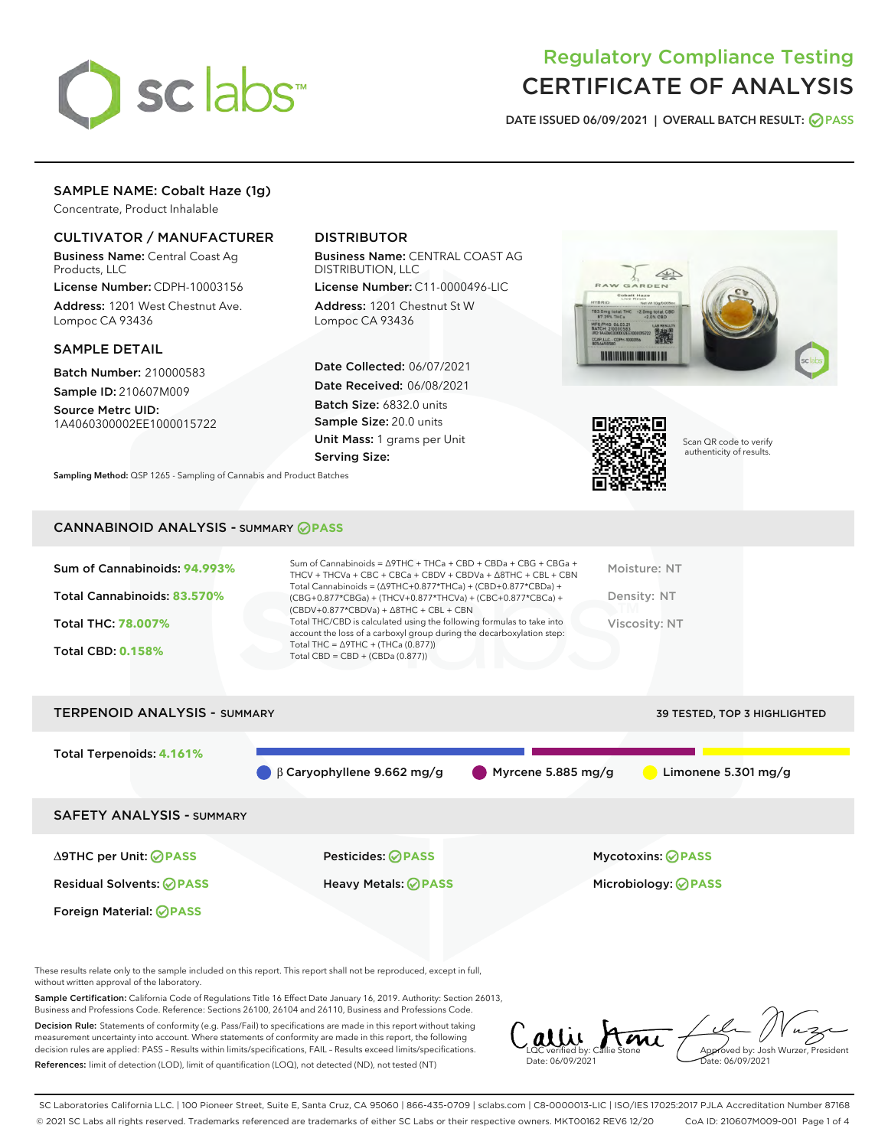

# Regulatory Compliance Testing CERTIFICATE OF ANALYSIS

DATE ISSUED 06/09/2021 | OVERALL BATCH RESULT: @ PASS

# SAMPLE NAME: Cobalt Haze (1g)

Concentrate, Product Inhalable

# CULTIVATOR / MANUFACTURER

Business Name: Central Coast Ag Products, LLC

License Number: CDPH-10003156 Address: 1201 West Chestnut Ave. Lompoc CA 93436

#### SAMPLE DETAIL

Batch Number: 210000583 Sample ID: 210607M009

Source Metrc UID: 1A4060300002EE1000015722

# DISTRIBUTOR

Business Name: CENTRAL COAST AG DISTRIBUTION, LLC

License Number: C11-0000496-LIC Address: 1201 Chestnut St W Lompoc CA 93436

Date Collected: 06/07/2021 Date Received: 06/08/2021 Batch Size: 6832.0 units Sample Size: 20.0 units Unit Mass: 1 grams per Unit Serving Size:





Scan QR code to verify authenticity of results.

Sampling Method: QSP 1265 - Sampling of Cannabis and Product Batches

# CANNABINOID ANALYSIS - SUMMARY **PASS**

| Total Cannabinoids: 83.570%<br>Density: NT<br>(CBG+0.877*CBGa) + (THCV+0.877*THCVa) + (CBC+0.877*CBCa) +<br>$(CBDV+0.877*CBDVa) + \Delta 8THC + CBL + CBN$<br>Total THC/CBD is calculated using the following formulas to take into<br><b>Total THC: 78,007%</b><br>Viscosity: NT<br>account the loss of a carboxyl group during the decarboxylation step:<br>Total THC = $\triangle$ 9THC + (THCa (0.877))<br><b>Total CBD: 0.158%</b><br>Total CBD = $CBD + (CBDa (0.877))$ | Sum of Cannabinoids: 94.993% | Sum of Cannabinoids = $\triangle$ 9THC + THCa + CBD + CBDa + CBG + CBGa +<br>THCV + THCVa + CBC + CBCa + CBDV + CBDVa + $\Delta$ 8THC + CBL + CBN<br>Total Cannabinoids = $(\Delta$ 9THC+0.877*THCa) + (CBD+0.877*CBDa) + | Moisture: NT |
|-------------------------------------------------------------------------------------------------------------------------------------------------------------------------------------------------------------------------------------------------------------------------------------------------------------------------------------------------------------------------------------------------------------------------------------------------------------------------------|------------------------------|---------------------------------------------------------------------------------------------------------------------------------------------------------------------------------------------------------------------------|--------------|
|                                                                                                                                                                                                                                                                                                                                                                                                                                                                               |                              |                                                                                                                                                                                                                           |              |
|                                                                                                                                                                                                                                                                                                                                                                                                                                                                               |                              |                                                                                                                                                                                                                           |              |
|                                                                                                                                                                                                                                                                                                                                                                                                                                                                               |                              |                                                                                                                                                                                                                           |              |



These results relate only to the sample included on this report. This report shall not be reproduced, except in full, without written approval of the laboratory.

Sample Certification: California Code of Regulations Title 16 Effect Date January 16, 2019. Authority: Section 26013, Business and Professions Code. Reference: Sections 26100, 26104 and 26110, Business and Professions Code.

Decision Rule: Statements of conformity (e.g. Pass/Fail) to specifications are made in this report without taking measurement uncertainty into account. Where statements of conformity are made in this report, the following decision rules are applied: PASS – Results within limits/specifications, FAIL – Results exceed limits/specifications. References: limit of detection (LOD), limit of quantification (LOQ), not detected (ND), not tested (NT)

allie Stone Date: 06/09/2021 Approved by: Josh Wurzer, President Date: 06/09/2021

SC Laboratories California LLC. | 100 Pioneer Street, Suite E, Santa Cruz, CA 95060 | 866-435-0709 | sclabs.com | C8-0000013-LIC | ISO/IES 17025:2017 PJLA Accreditation Number 87168 © 2021 SC Labs all rights reserved. Trademarks referenced are trademarks of either SC Labs or their respective owners. MKT00162 REV6 12/20 CoA ID: 210607M009-001 Page 1 of 4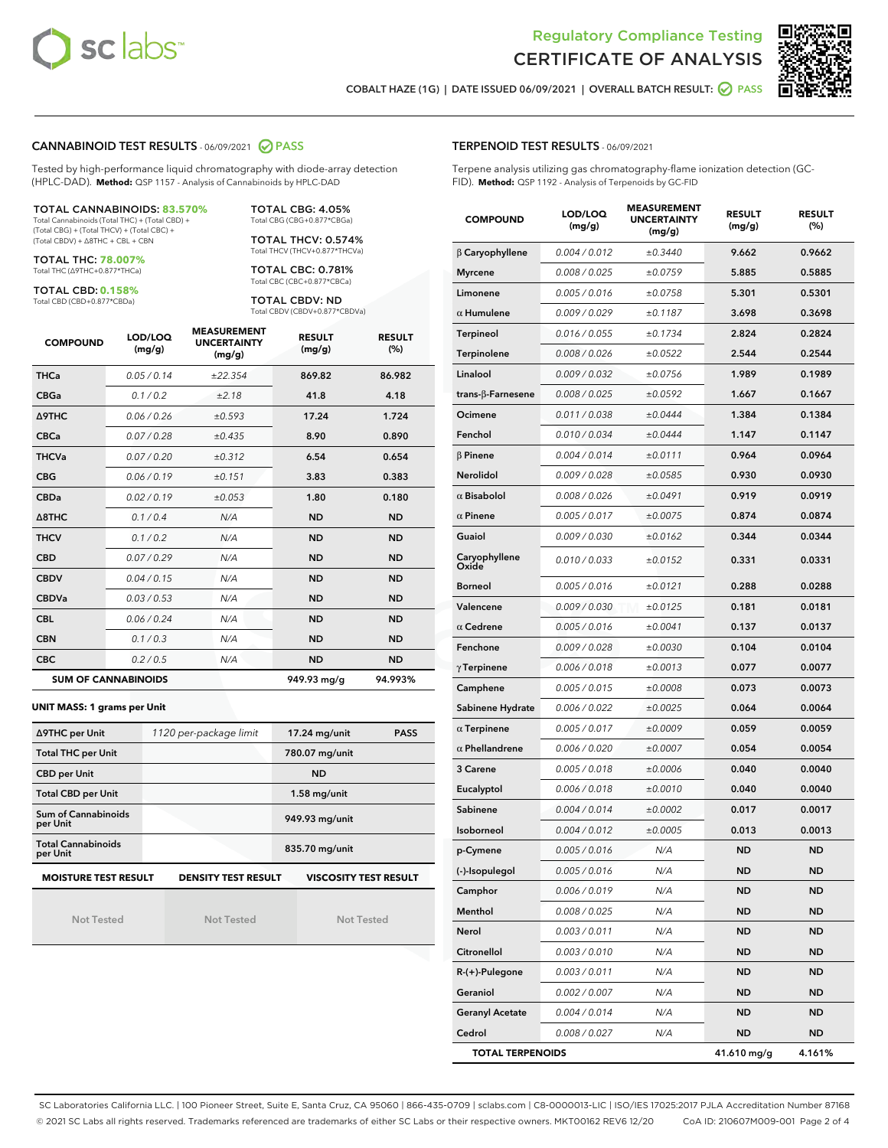



COBALT HAZE (1G) | DATE ISSUED 06/09/2021 | OVERALL BATCH RESULT: ◯ PASS

#### CANNABINOID TEST RESULTS - 06/09/2021 2 PASS

Tested by high-performance liquid chromatography with diode-array detection (HPLC-DAD). **Method:** QSP 1157 - Analysis of Cannabinoids by HPLC-DAD

TOTAL CANNABINOIDS: **83.570%** Total Cannabinoids (Total THC) + (Total CBD) + (Total CBG) + (Total THCV) + (Total CBC) + (Total CBDV) + ∆8THC + CBL + CBN

TOTAL THC: **78.007%** Total THC (∆9THC+0.877\*THCa)

TOTAL CBD: **0.158%**

Total CBD (CBD+0.877\*CBDa)

TOTAL CBG: 4.05% Total CBG (CBG+0.877\*CBGa)

TOTAL THCV: 0.574% Total THCV (THCV+0.877\*THCVa)

TOTAL CBC: 0.781% Total CBC (CBC+0.877\*CBCa)

TOTAL CBDV: ND Total CBDV (CBDV+0.877\*CBDVa)

| <b>COMPOUND</b> | LOD/LOQ<br>(mg/g)          | <b>MEASUREMENT</b><br><b>UNCERTAINTY</b><br>(mg/g) | <b>RESULT</b><br>(mg/g) | <b>RESULT</b><br>(%) |
|-----------------|----------------------------|----------------------------------------------------|-------------------------|----------------------|
| <b>THCa</b>     | 0.05/0.14                  | ±22.354                                            | 869.82                  | 86.982               |
| <b>CBGa</b>     | 0.1 / 0.2                  | ±2.18                                              | 41.8                    | 4.18                 |
| <b>A9THC</b>    | 0.06 / 0.26                | ±0.593                                             | 17.24                   | 1.724                |
| <b>CBCa</b>     | 0.07/0.28                  | ±0.435                                             | 8.90                    | 0.890                |
| <b>THCVa</b>    | 0.07/0.20                  | ±0.312                                             | 6.54                    | 0.654                |
| <b>CBG</b>      | 0.06/0.19                  | ±0.151                                             | 3.83                    | 0.383                |
| <b>CBDa</b>     | 0.02/0.19                  | ±0.053                                             | 1.80                    | 0.180                |
| A8THC           | 0.1/0.4                    | N/A                                                | <b>ND</b>               | <b>ND</b>            |
| <b>THCV</b>     | 0.1/0.2                    | N/A                                                | <b>ND</b>               | <b>ND</b>            |
| <b>CBD</b>      | 0.07/0.29                  | N/A                                                | <b>ND</b>               | <b>ND</b>            |
| <b>CBDV</b>     | 0.04 / 0.15                | N/A                                                | <b>ND</b>               | <b>ND</b>            |
| <b>CBDVa</b>    | 0.03/0.53                  | N/A                                                | <b>ND</b>               | <b>ND</b>            |
| <b>CBL</b>      | 0.06 / 0.24                | N/A                                                | <b>ND</b>               | <b>ND</b>            |
| <b>CBN</b>      | 0.1/0.3                    | N/A                                                | <b>ND</b>               | <b>ND</b>            |
| <b>CBC</b>      | 0.2 / 0.5                  | N/A                                                | <b>ND</b>               | <b>ND</b>            |
|                 | <b>SUM OF CANNABINOIDS</b> |                                                    | 949.93 mg/g             | 94.993%              |

**UNIT MASS: 1 grams per Unit**

| ∆9THC per Unit                        | 1120 per-package limit     | 17.24 mg/unit<br><b>PASS</b> |
|---------------------------------------|----------------------------|------------------------------|
| <b>Total THC per Unit</b>             |                            | 780.07 mg/unit               |
| <b>CBD per Unit</b>                   |                            | <b>ND</b>                    |
| <b>Total CBD per Unit</b>             |                            | $1.58$ mg/unit               |
| Sum of Cannabinoids<br>per Unit       |                            | 949.93 mg/unit               |
| <b>Total Cannabinoids</b><br>per Unit |                            | 835.70 mg/unit               |
| <b>MOISTURE TEST RESULT</b>           | <b>DENSITY TEST RESULT</b> | <b>VISCOSITY TEST RESULT</b> |

Not Tested

Not Tested

Not Tested

#### TERPENOID TEST RESULTS - 06/09/2021

Terpene analysis utilizing gas chromatography-flame ionization detection (GC-FID). **Method:** QSP 1192 - Analysis of Terpenoids by GC-FID

| <b>COMPOUND</b>           | LOD/LOQ<br>(mg/g) | <b>MEASUREMENT</b><br><b>UNCERTAINTY</b><br>(mg/g) | <b>RESULT</b><br>(mg/g) | <b>RESULT</b><br>(%) |
|---------------------------|-------------------|----------------------------------------------------|-------------------------|----------------------|
| $\beta$ Caryophyllene     | 0.004 / 0.012     | ±0.3440                                            | 9.662                   | 0.9662               |
| <b>Myrcene</b>            | 0.008 / 0.025     | ±0.0759                                            | 5.885                   | 0.5885               |
| Limonene                  | 0.005 / 0.016     | ±0.0758                                            | 5.301                   | 0.5301               |
| $\alpha$ Humulene         | 0.009 / 0.029     | ±0.1187                                            | 3.698                   | 0.3698               |
| <b>Terpineol</b>          | 0.016 / 0.055     | ±0.1734                                            | 2.824                   | 0.2824               |
| Terpinolene               | 0.008 / 0.026     | ±0.0522                                            | 2.544                   | 0.2544               |
| Linalool                  | 0.009 / 0.032     | ±0.0756                                            | 1.989                   | 0.1989               |
| trans- $\beta$ -Farnesene | 0.008 / 0.025     | ±0.0592                                            | 1.667                   | 0.1667               |
| Ocimene                   | 0.011 / 0.038     | ±0.0444                                            | 1.384                   | 0.1384               |
| Fenchol                   | 0.010 / 0.034     | ±0.0444                                            | 1.147                   | 0.1147               |
| $\beta$ Pinene            | 0.004 / 0.014     | ±0.0111                                            | 0.964                   | 0.0964               |
| Nerolidol                 | 0.009 / 0.028     | ±0.0585                                            | 0.930                   | 0.0930               |
| $\alpha$ Bisabolol        | 0.008 / 0.026     | ±0.0491                                            | 0.919                   | 0.0919               |
| $\alpha$ Pinene           | 0.005 / 0.017     | ±0.0075                                            | 0.874                   | 0.0874               |
| Guaiol                    | 0.009 / 0.030     | ±0.0162                                            | 0.344                   | 0.0344               |
| Caryophyllene<br>Oxide    | 0.010 / 0.033     | ±0.0152                                            | 0.331                   | 0.0331               |
| <b>Borneol</b>            | 0.005 / 0.016     | ±0.0121                                            | 0.288                   | 0.0288               |
| Valencene                 | 0.009 / 0.030     | ±0.0125                                            | 0.181                   | 0.0181               |
| $\alpha$ Cedrene          | 0.005 / 0.016     | ±0.0041                                            | 0.137                   | 0.0137               |
| Fenchone                  | 0.009 / 0.028     | ±0.0030                                            | 0.104                   | 0.0104               |
| $\gamma$ Terpinene        | 0.006 / 0.018     | ±0.0013                                            | 0.077                   | 0.0077               |
| Camphene                  | 0.005 / 0.015     | ±0.0008                                            | 0.073                   | 0.0073               |
| Sabinene Hydrate          | 0.006 / 0.022     | ±0.0025                                            | 0.064                   | 0.0064               |
| $\alpha$ Terpinene        | 0.005 / 0.017     | ±0.0009                                            | 0.059                   | 0.0059               |
| $\alpha$ Phellandrene     | 0.006 / 0.020     | ±0.0007                                            | 0.054                   | 0.0054               |
| 3 Carene                  | 0.005 / 0.018     | ±0.0006                                            | 0.040                   | 0.0040               |
| Eucalyptol                | 0.006 / 0.018     | ±0.0010                                            | 0.040                   | 0.0040               |
| Sabinene                  | 0.004 / 0.014     | ±0.0002                                            | 0.017                   | 0.0017               |
| Isoborneol                | 0.004 / 0.012     | ±0.0005                                            | 0.013                   | 0.0013               |
| p-Cymene                  | 0.005 / 0.016     | N/A                                                | ND                      | <b>ND</b>            |
| (-)-Isopulegol            | 0.005 / 0.016     | N/A                                                | ND                      | ND                   |
| Camphor                   | 0.006 / 0.019     | N/A                                                | <b>ND</b>               | ND                   |
| Menthol                   | 0.008 / 0.025     | N/A                                                | ND                      | ND                   |
| Nerol                     | 0.003 / 0.011     | N/A                                                | ND                      | ND                   |
| Citronellol               | 0.003 / 0.010     | N/A                                                | ND                      | ND                   |
| $R-(+)$ -Pulegone         | 0.003 / 0.011     | N/A                                                | ND                      | ND                   |
| Geraniol                  | 0.002 / 0.007     | N/A                                                | ND                      | ND                   |
| <b>Geranyl Acetate</b>    | 0.004 / 0.014     | N/A                                                | ND                      | ND                   |
| Cedrol                    | 0.008 / 0.027     | N/A                                                | ND                      | ND                   |
| <b>TOTAL TERPENOIDS</b>   |                   |                                                    | 41.610 mg/g             | 4.161%               |

SC Laboratories California LLC. | 100 Pioneer Street, Suite E, Santa Cruz, CA 95060 | 866-435-0709 | sclabs.com | C8-0000013-LIC | ISO/IES 17025:2017 PJLA Accreditation Number 87168 © 2021 SC Labs all rights reserved. Trademarks referenced are trademarks of either SC Labs or their respective owners. MKT00162 REV6 12/20 CoA ID: 210607M009-001 Page 2 of 4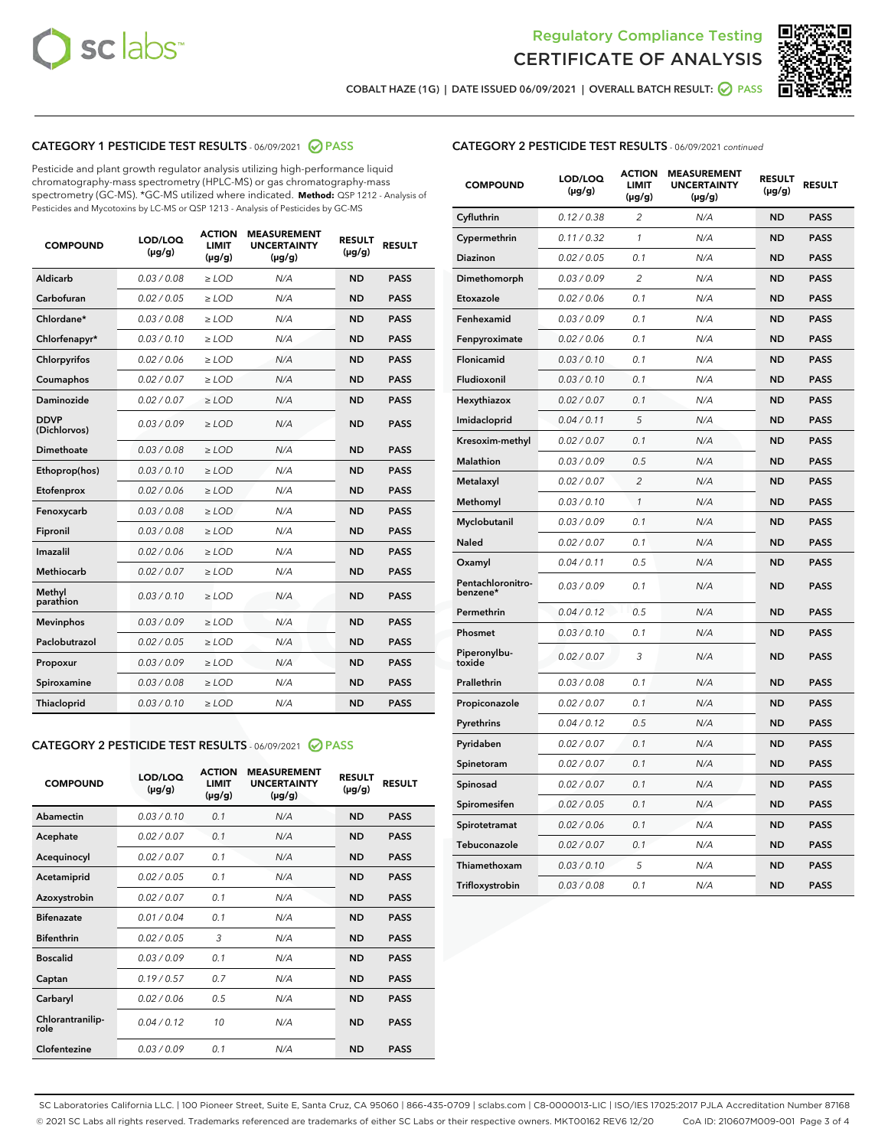



COBALT HAZE (1G) | DATE ISSUED 06/09/2021 | OVERALL BATCH RESULT: ● PASS

# CATEGORY 1 PESTICIDE TEST RESULTS - 06/09/2021 2 PASS

Pesticide and plant growth regulator analysis utilizing high-performance liquid chromatography-mass spectrometry (HPLC-MS) or gas chromatography-mass spectrometry (GC-MS). \*GC-MS utilized where indicated. **Method:** QSP 1212 - Analysis of Pesticides and Mycotoxins by LC-MS or QSP 1213 - Analysis of Pesticides by GC-MS

| <b>COMPOUND</b>             | LOD/LOQ<br>$(\mu g/g)$ | <b>ACTION</b><br><b>LIMIT</b><br>$(\mu g/g)$ | <b>MEASUREMENT</b><br><b>UNCERTAINTY</b><br>$(\mu g/g)$ | <b>RESULT</b><br>$(\mu g/g)$ | <b>RESULT</b> |
|-----------------------------|------------------------|----------------------------------------------|---------------------------------------------------------|------------------------------|---------------|
| Aldicarb                    | 0.03 / 0.08            | $\ge$ LOD                                    | N/A                                                     | <b>ND</b>                    | <b>PASS</b>   |
| Carbofuran                  | 0.02/0.05              | $>$ LOD                                      | N/A                                                     | <b>ND</b>                    | <b>PASS</b>   |
| Chlordane*                  | 0.03 / 0.08            | $\ge$ LOD                                    | N/A                                                     | <b>ND</b>                    | <b>PASS</b>   |
| Chlorfenapyr*               | 0.03/0.10              | $\ge$ LOD                                    | N/A                                                     | <b>ND</b>                    | <b>PASS</b>   |
| Chlorpyrifos                | 0.02 / 0.06            | $\ge$ LOD                                    | N/A                                                     | <b>ND</b>                    | <b>PASS</b>   |
| Coumaphos                   | 0.02 / 0.07            | $\ge$ LOD                                    | N/A                                                     | <b>ND</b>                    | <b>PASS</b>   |
| Daminozide                  | 0.02/0.07              | $>$ LOD                                      | N/A                                                     | <b>ND</b>                    | <b>PASS</b>   |
| <b>DDVP</b><br>(Dichlorvos) | 0.03/0.09              | $\ge$ LOD                                    | N/A                                                     | <b>ND</b>                    | <b>PASS</b>   |
| Dimethoate                  | 0.03/0.08              | $\ge$ LOD                                    | N/A                                                     | <b>ND</b>                    | <b>PASS</b>   |
| Ethoprop(hos)               | 0.03/0.10              | $>$ LOD                                      | N/A                                                     | <b>ND</b>                    | <b>PASS</b>   |
| Etofenprox                  | 0.02 / 0.06            | $\ge$ LOD                                    | N/A                                                     | <b>ND</b>                    | <b>PASS</b>   |
| Fenoxycarb                  | 0.03/0.08              | $\ge$ LOD                                    | N/A                                                     | <b>ND</b>                    | <b>PASS</b>   |
| Fipronil                    | 0.03/0.08              | $\ge$ LOD                                    | N/A                                                     | <b>ND</b>                    | <b>PASS</b>   |
| Imazalil                    | 0.02 / 0.06            | $\ge$ LOD                                    | N/A                                                     | <b>ND</b>                    | <b>PASS</b>   |
| <b>Methiocarb</b>           | 0.02 / 0.07            | $\ge$ LOD                                    | N/A                                                     | <b>ND</b>                    | <b>PASS</b>   |
| Methyl<br>parathion         | 0.03/0.10              | $\ge$ LOD                                    | N/A                                                     | <b>ND</b>                    | <b>PASS</b>   |
| <b>Mevinphos</b>            | 0.03/0.09              | $>$ LOD                                      | N/A                                                     | <b>ND</b>                    | <b>PASS</b>   |
| Paclobutrazol               | 0.02 / 0.05            | $\ge$ LOD                                    | N/A                                                     | <b>ND</b>                    | <b>PASS</b>   |
| Propoxur                    | 0.03/0.09              | $\ge$ LOD                                    | N/A                                                     | <b>ND</b>                    | <b>PASS</b>   |
| Spiroxamine                 | 0.03/0.08              | $\ge$ LOD                                    | N/A                                                     | <b>ND</b>                    | <b>PASS</b>   |
| Thiacloprid                 | 0.03/0.10              | $\ge$ LOD                                    | N/A                                                     | <b>ND</b>                    | <b>PASS</b>   |

#### CATEGORY 2 PESTICIDE TEST RESULTS - 06/09/2021 @ PASS

| <b>COMPOUND</b>          | LOD/LOQ<br>$(\mu g/g)$ | <b>ACTION</b><br><b>LIMIT</b><br>$(\mu g/g)$ | <b>MEASUREMENT</b><br><b>UNCERTAINTY</b><br>$(\mu g/g)$ | <b>RESULT</b><br>$(\mu g/g)$ | <b>RESULT</b> |
|--------------------------|------------------------|----------------------------------------------|---------------------------------------------------------|------------------------------|---------------|
| Abamectin                | 0.03/0.10              | 0.1                                          | N/A                                                     | <b>ND</b>                    | <b>PASS</b>   |
| Acephate                 | 0.02/0.07              | 0.1                                          | N/A                                                     | <b>ND</b>                    | <b>PASS</b>   |
| Acequinocyl              | 0.02/0.07              | 0.1                                          | N/A                                                     | <b>ND</b>                    | <b>PASS</b>   |
| Acetamiprid              | 0.02/0.05              | 0.1                                          | N/A                                                     | <b>ND</b>                    | <b>PASS</b>   |
| Azoxystrobin             | 0 02 / 0 07            | 0.1                                          | N/A                                                     | <b>ND</b>                    | <b>PASS</b>   |
| <b>Bifenazate</b>        | 0.01/0.04              | 0.1                                          | N/A                                                     | <b>ND</b>                    | <b>PASS</b>   |
| <b>Bifenthrin</b>        | 0.02 / 0.05            | 3                                            | N/A                                                     | <b>ND</b>                    | <b>PASS</b>   |
| <b>Boscalid</b>          | 0.03/0.09              | 0.1                                          | N/A                                                     | <b>ND</b>                    | <b>PASS</b>   |
| Captan                   | 0.19/0.57              | 0.7                                          | N/A                                                     | <b>ND</b>                    | <b>PASS</b>   |
| Carbaryl                 | 0.02/0.06              | 0.5                                          | N/A                                                     | <b>ND</b>                    | <b>PASS</b>   |
| Chlorantranilip-<br>role | 0.04/0.12              | 10                                           | N/A                                                     | <b>ND</b>                    | <b>PASS</b>   |
| Clofentezine             | 0.03/0.09              | 0.1                                          | N/A                                                     | <b>ND</b>                    | <b>PASS</b>   |

# CATEGORY 2 PESTICIDE TEST RESULTS - 06/09/2021 continued

| <b>COMPOUND</b>               | LOD/LOQ<br>(µg/g) | <b>ACTION</b><br><b>LIMIT</b><br>$(\mu g/g)$ | <b>MEASUREMENT</b><br><b>UNCERTAINTY</b><br>$(\mu g/g)$ | <b>RESULT</b><br>(µg/g) | <b>RESULT</b> |
|-------------------------------|-------------------|----------------------------------------------|---------------------------------------------------------|-------------------------|---------------|
| Cyfluthrin                    | 0.12 / 0.38       | $\overline{c}$                               | N/A                                                     | ND                      | <b>PASS</b>   |
| Cypermethrin                  | 0.11 / 0.32       | $\mathcal{I}$                                | N/A                                                     | ND                      | <b>PASS</b>   |
| Diazinon                      | 0.02 / 0.05       | 0.1                                          | N/A                                                     | <b>ND</b>               | <b>PASS</b>   |
| Dimethomorph                  | 0.03 / 0.09       | 2                                            | N/A                                                     | ND                      | <b>PASS</b>   |
| Etoxazole                     | 0.02 / 0.06       | 0.1                                          | N/A                                                     | ND                      | <b>PASS</b>   |
| Fenhexamid                    | 0.03 / 0.09       | 0.1                                          | N/A                                                     | <b>ND</b>               | <b>PASS</b>   |
| Fenpyroximate                 | 0.02 / 0.06       | 0.1                                          | N/A                                                     | ND                      | <b>PASS</b>   |
| Flonicamid                    | 0.03 / 0.10       | 0.1                                          | N/A                                                     | ND                      | <b>PASS</b>   |
| Fludioxonil                   | 0.03 / 0.10       | 0.1                                          | N/A                                                     | ND                      | <b>PASS</b>   |
| Hexythiazox                   | 0.02 / 0.07       | 0.1                                          | N/A                                                     | ND                      | <b>PASS</b>   |
| Imidacloprid                  | 0.04 / 0.11       | 5                                            | N/A                                                     | ND                      | <b>PASS</b>   |
| Kresoxim-methyl               | 0.02 / 0.07       | 0.1                                          | N/A                                                     | ND                      | <b>PASS</b>   |
| <b>Malathion</b>              | 0.03 / 0.09       | 0.5                                          | N/A                                                     | ND                      | <b>PASS</b>   |
| Metalaxyl                     | 0.02 / 0.07       | $\overline{c}$                               | N/A                                                     | ND                      | <b>PASS</b>   |
| Methomyl                      | 0.03 / 0.10       | 1                                            | N/A                                                     | <b>ND</b>               | <b>PASS</b>   |
| Myclobutanil                  | 0.03 / 0.09       | 0.1                                          | N/A                                                     | ND                      | <b>PASS</b>   |
| Naled                         | 0.02 / 0.07       | 0.1                                          | N/A                                                     | ND                      | <b>PASS</b>   |
| Oxamyl                        | 0.04 / 0.11       | 0.5                                          | N/A                                                     | ND                      | <b>PASS</b>   |
| Pentachloronitro-<br>benzene* | 0.03 / 0.09       | 0.1                                          | N/A                                                     | ND                      | <b>PASS</b>   |
| Permethrin                    | 0.04 / 0.12       | 0.5                                          | N/A                                                     | ND                      | <b>PASS</b>   |
| Phosmet                       | 0.03 / 0.10       | 0.1                                          | N/A                                                     | ND                      | <b>PASS</b>   |
| Piperonylbu-<br>toxide        | 0.02 / 0.07       | 3                                            | N/A                                                     | ND                      | <b>PASS</b>   |
| Prallethrin                   | 0.03 / 0.08       | 0.1                                          | N/A                                                     | ND                      | <b>PASS</b>   |
| Propiconazole                 | 0.02 / 0.07       | 0.1                                          | N/A                                                     | ND                      | <b>PASS</b>   |
| Pyrethrins                    | 0.04 / 0.12       | 0.5                                          | N/A                                                     | ND                      | <b>PASS</b>   |
| Pyridaben                     | 0.02 / 0.07       | 0.1                                          | N/A                                                     | ND                      | <b>PASS</b>   |
| Spinetoram                    | 0.02 / 0.07       | 0.1                                          | N/A                                                     | ND                      | <b>PASS</b>   |
| Spinosad                      | 0.02 / 0.07       | 0.1                                          | N/A                                                     | ND                      | <b>PASS</b>   |
| Spiromesifen                  | 0.02 / 0.05       | 0.1                                          | N/A                                                     | <b>ND</b>               | <b>PASS</b>   |
| Spirotetramat                 | 0.02 / 0.06       | 0.1                                          | N/A                                                     | ND                      | <b>PASS</b>   |
| Tebuconazole                  | 0.02 / 0.07       | 0.1                                          | N/A                                                     | ND                      | <b>PASS</b>   |
| Thiamethoxam                  | 0.03 / 0.10       | 5                                            | N/A                                                     | ND                      | <b>PASS</b>   |
| Trifloxystrobin               | 0.03 / 0.08       | 0.1                                          | N/A                                                     | <b>ND</b>               | <b>PASS</b>   |

SC Laboratories California LLC. | 100 Pioneer Street, Suite E, Santa Cruz, CA 95060 | 866-435-0709 | sclabs.com | C8-0000013-LIC | ISO/IES 17025:2017 PJLA Accreditation Number 87168 © 2021 SC Labs all rights reserved. Trademarks referenced are trademarks of either SC Labs or their respective owners. MKT00162 REV6 12/20 CoA ID: 210607M009-001 Page 3 of 4